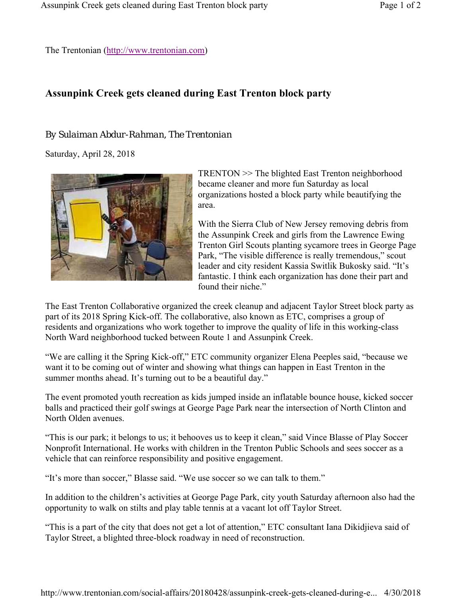The Trentonian (http://www.trentonian.com)

## **Assunpink Creek gets cleaned during East Trenton block party**

## *By Sulaiman Abdur-Rahman, The Trentonian*

Saturday, April 28, 2018



TRENTON >> The blighted East Trenton neighborhood became cleaner and more fun Saturday as local organizations hosted a block party while beautifying the area.

With the Sierra Club of New Jersey removing debris from the Assunpink Creek and girls from the Lawrence Ewing Trenton Girl Scouts planting sycamore trees in George Page Park, "The visible difference is really tremendous," scout leader and city resident Kassia Switlik Bukosky said. "It's fantastic. I think each organization has done their part and found their niche."

The East Trenton Collaborative organized the creek cleanup and adjacent Taylor Street block party as part of its 2018 Spring Kick-off. The collaborative, also known as ETC, comprises a group of residents and organizations who work together to improve the quality of life in this working-class North Ward neighborhood tucked between Route 1 and Assunpink Creek.

"We are calling it the Spring Kick-off," ETC community organizer Elena Peeples said, "because we want it to be coming out of winter and showing what things can happen in East Trenton in the summer months ahead. It's turning out to be a beautiful day."

The event promoted youth recreation as kids jumped inside an inflatable bounce house, kicked soccer balls and practiced their golf swings at George Page Park near the intersection of North Clinton and North Olden avenues.

"This is our park; it belongs to us; it behooves us to keep it clean," said Vince Blasse of Play Soccer Nonprofit International. He works with children in the Trenton Public Schools and sees soccer as a vehicle that can reinforce responsibility and positive engagement.

"It's more than soccer," Blasse said. "We use soccer so we can talk to them."

In addition to the children's activities at George Page Park, city youth Saturday afternoon also had the opportunity to walk on stilts and play table tennis at a vacant lot off Taylor Street.

"This is a part of the city that does not get a lot of attention," ETC consultant Iana Dikidjieva said of Taylor Street, a blighted three-block roadway in need of reconstruction.